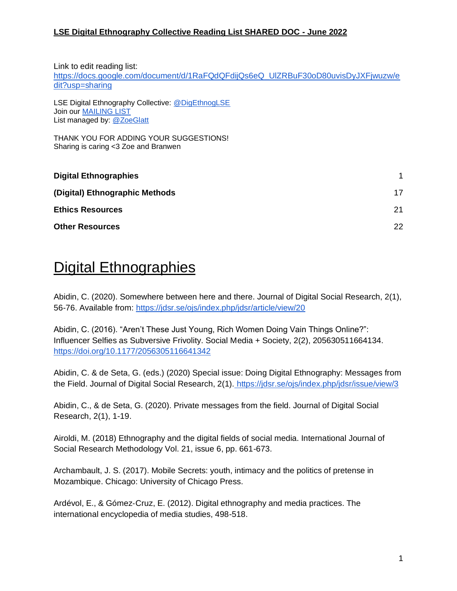Link to edit reading list: [https://docs.google.com/document/d/1RaFQdQFdijQs6eQ\\_UlZRBuF30oD80uvisDyJXFjwuzw/e](https://docs.google.com/document/d/1RaFQdQFdijQs6eQ_UlZRBuF30oD80uvisDyJXFjwuzw/edit?usp=sharing) [dit?usp=sharing](https://docs.google.com/document/d/1RaFQdQFdijQs6eQ_UlZRBuF30oD80uvisDyJXFjwuzw/edit?usp=sharing)

LSE Digital Ethnography Collective: [@DigEthnogLSE](https://twitter.com/DigEthnogLSE) Join our [MAILING LIST](https://lse.us20.list-manage.com/subscribe?u=33e8110cb8a6ef1c304e09ad6&id=6865576361) List managed by: [@ZoeGlatt](https://twitter.com/ZoeGlatt) 

THANK YOU FOR ADDING YOUR SUGGESTIONS! Sharing is caring <3 Zoe and Branwen

| <b>Digital Ethnographies</b>   |    |
|--------------------------------|----|
| (Digital) Ethnographic Methods | 17 |
| <b>Ethics Resources</b>        | 21 |
| <b>Other Resources</b>         | 22 |

### <span id="page-0-0"></span>Digital Ethnographies

Abidin, C. (2020). Somewhere between here and there. Journal of Digital Social Research, 2(1), 56-76. Available from:<https://jdsr.se/ojs/index.php/jdsr/article/view/20>

Abidin, C. (2016). "Aren't These Just Young, Rich Women Doing Vain Things Online?": Influencer Selfies as Subversive Frivolity. Social Media + Society, 2(2), 205630511664134[.](https://doi.org/10.1177/2056305116641342) <https://doi.org/10.1177/2056305116641342>

Abidin, C. & de Seta, G. (eds.) (2020) Special issue: Doing Digital Ethnography: Messages from the Field. Journal of Digital Social Research, 2(1). <https://jdsr.se/ojs/index.php/jdsr/issue/view/3>

Abidin, C., & de Seta, G. (2020). Private messages from the field. Journal of Digital Social Research, 2(1), 1-19.

Airoldi, M. (2018) Ethnography and the digital fields of social media. International Journal of Social Research Methodology Vol. 21, issue 6, pp. 661-673.

Archambault, J. S. (2017). Mobile Secrets: youth, intimacy and the politics of pretense in Mozambique. Chicago: University of Chicago Press.

Ardévol, E., & Gómez‐Cruz, E. (2012). Digital ethnography and media practices. The international encyclopedia of media studies, 498-518.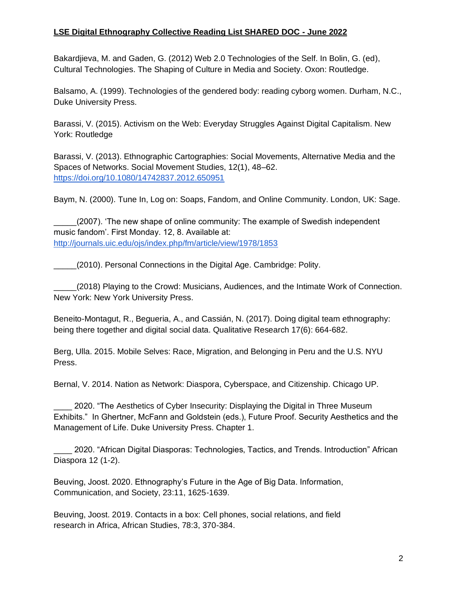Bakardjieva, M. and Gaden, G. (2012) Web 2.0 Technologies of the Self. In Bolin, G. (ed), Cultural Technologies. The Shaping of Culture in Media and Society. Oxon: Routledge.

Balsamo, A. (1999). Technologies of the gendered body: reading cyborg women. Durham, N.C., Duke University Press.

Barassi, V. (2015). Activism on the Web: Everyday Struggles Against Digital Capitalism. New York: Routledge

Barassi, V. (2013). Ethnographic Cartographies: Social Movements, Alternative Media and the Spaces of Networks. Social Movement Studies, 12(1), 48–62. <https://doi.org/10.1080/14742837.2012.650951>

Baym, N. (2000). Tune In, Log on: Soaps, Fandom, and Online Community. London, UK: Sage.

(2007). 'The new shape of online community: The example of Swedish independent music fandom'. First Monday. 12, 8. Available at: <http://journals.uic.edu/ojs/index.php/fm/article/view/1978/1853>

(2010). Personal Connections in the Digital Age. Cambridge: Polity.

\_\_\_\_\_(2018) Playing to the Crowd: Musicians, Audiences, and the Intimate Work of Connection. New York: New York University Press.

Beneito-Montagut, R., Begueria, A., and Cassián, N. (2017). Doing digital team ethnography: being there together and digital social data. Qualitative Research 17(6): 664-682.

Berg, Ulla. 2015. Mobile Selves: Race, Migration, and Belonging in Peru and the U.S. NYU Press.

Bernal, V. 2014. Nation as Network: Diaspora, Cyberspace, and Citizenship. Chicago UP.

\_\_\_\_ 2020. "The Aesthetics of Cyber Insecurity: Displaying the Digital in Three Museum Exhibits." In Ghertner, McFann and Goldstein (eds.), Future Proof. Security Aesthetics and the Management of Life. Duke University Press. Chapter 1.

\_\_\_\_ 2020. "African Digital Diasporas: Technologies, Tactics, and Trends. Introduction" African Diaspora 12 (1-2).

Beuving, Joost. 2020. Ethnography's Future in the Age of Big Data. Information, Communication, and Society, 23:11, 1625-1639.

Beuving, Joost. 2019. Contacts in a box: Cell phones, social relations, and field research in Africa, African Studies, 78:3, 370-384.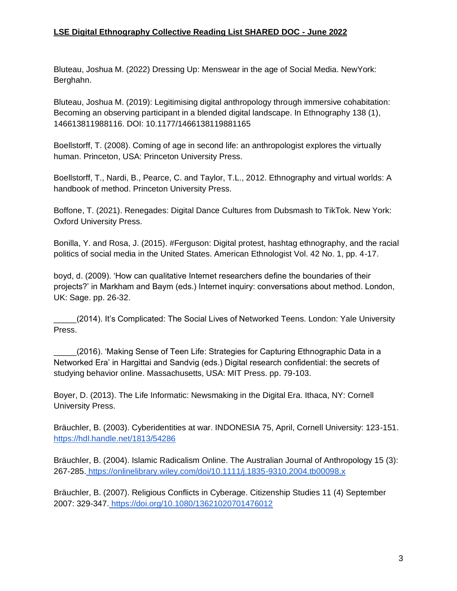Bluteau, Joshua M. (2022) Dressing Up: Menswear in the age of Social Media. NewYork: Berghahn.

Bluteau, Joshua M. (2019): Legitimising digital anthropology through immersive cohabitation: Becoming an observing participant in a blended digital landscape. In Ethnography 138 (1), 146613811988116. DOI: 10.1177/1466138119881165

Boellstorff, T. (2008). Coming of age in second life: an anthropologist explores the virtually human. Princeton, USA: Princeton University Press.

Boellstorff, T., Nardi, B., Pearce, C. and Taylor, T.L., 2012. Ethnography and virtual worlds: A handbook of method. Princeton University Press.

Boffone, T. (2021). Renegades: Digital Dance Cultures from Dubsmash to TikTok. New York: Oxford University Press.

Bonilla, Y. and Rosa, J. (2015). #Ferguson: Digital protest, hashtag ethnography, and the racial politics of social media in the United States. American Ethnologist Vol. 42 No. 1, pp. 4-17.

boyd, d. (2009). 'How can qualitative Internet researchers define the boundaries of their projects?' in Markham and Baym (eds.) Internet inquiry: conversations about method. London, UK: Sage. pp. 26-32.

\_\_\_\_\_(2014). It's Complicated: The Social Lives of Networked Teens. London: Yale University Press.

\_\_\_\_\_(2016). 'Making Sense of Teen Life: Strategies for Capturing Ethnographic Data in a Networked Era' in Hargittai and Sandvig (eds.) Digital research confidential: the secrets of studying behavior online. Massachusetts, USA: MIT Press. pp. 79-103.

Boyer, D. (2013). The Life Informatic: Newsmaking in the Digital Era. Ithaca, NY: Cornell University Press.

Bräuchler, B. (2003). Cyberidentities at war. INDONESIA 75, April, Cornell University: 123-151[.](https://hdl.handle.net/1813/54286) <https://hdl.handle.net/1813/54286>

Bräuchler, B. (2004). Islamic Radicalism Online. The Australian Journal of Anthropology 15 (3): 267-285. <https://onlinelibrary.wiley.com/doi/10.1111/j.1835-9310.2004.tb00098.x>

Bräuchler, B. (2007). Religious Conflicts in Cyberage. Citizenship Studies 11 (4) September 2007: 329-347. <https://doi.org/10.1080/13621020701476012>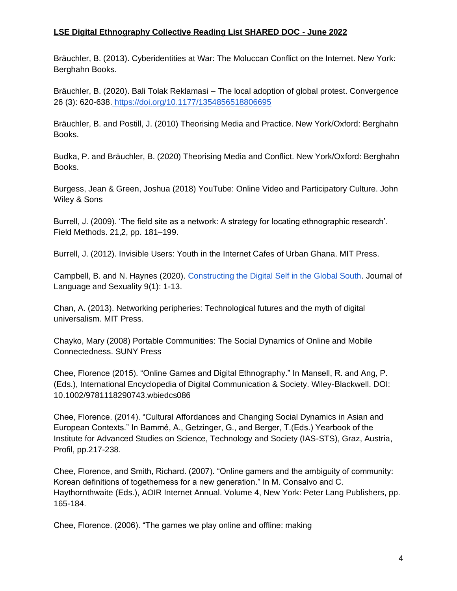Bräuchler, B. (2013). Cyberidentities at War: The Moluccan Conflict on the Internet. New York: Berghahn Books.

Bräuchler, B. (2020). Bali Tolak Reklamasi – The local adoption of global protest. Convergence 26 (3): 620-638. [https://doi.org/10.1177/1354856518806695](https://doi.org/10.1177%2F1354856518806695)

Bräuchler, B. and Postill, J. (2010) Theorising Media and Practice. New York/Oxford: Berghahn Books.

Budka, P. and Bräuchler, B. (2020) Theorising Media and Conflict. New York/Oxford: Berghahn Books.

Burgess, Jean & Green, Joshua (2018) YouTube: Online Video and Participatory Culture. John Wiley & Sons

Burrell, J. (2009). 'The field site as a network: A strategy for locating ethnographic research'. Field Methods. 21,2, pp. 181–199.

Burrell, J. (2012). Invisible Users: Youth in the Internet Cafes of Urban Ghana. MIT Press.

Campbell, B. and N. Haynes (2020). [Constructing the Digital Self in the Global South.](https://benjamins.com/catalog/jls.00006.cam) Journal of Language and Sexuality 9(1): 1-13.

Chan, A. (2013). Networking peripheries: Technological futures and the myth of digital universalism. MIT Press.

Chayko, Mary (2008) Portable Communities: The Social Dynamics of Online and Mobile Connectedness. SUNY Press

Chee, Florence (2015). "Online Games and Digital Ethnography." In Mansell, R. and Ang, P. (Eds.), International Encyclopedia of Digital Communication & Society. Wiley-Blackwell. DOI: 10.1002/9781118290743.wbiedcs086

Chee, Florence. (2014). "Cultural Affordances and Changing Social Dynamics in Asian and European Contexts." In Bammé, A., Getzinger, G., and Berger, T.(Eds.) Yearbook of the Institute for Advanced Studies on Science, Technology and Society (IAS-STS), Graz, Austria, Profil, pp.217-238.

Chee, Florence, and Smith, Richard. (2007). "Online gamers and the ambiguity of community: Korean definitions of togetherness for a new generation." In M. Consalvo and C. Haythornthwaite (Eds.), AOIR Internet Annual. Volume 4, New York: Peter Lang Publishers, pp. 165-184.

Chee, Florence. (2006). "The games we play online and offline: making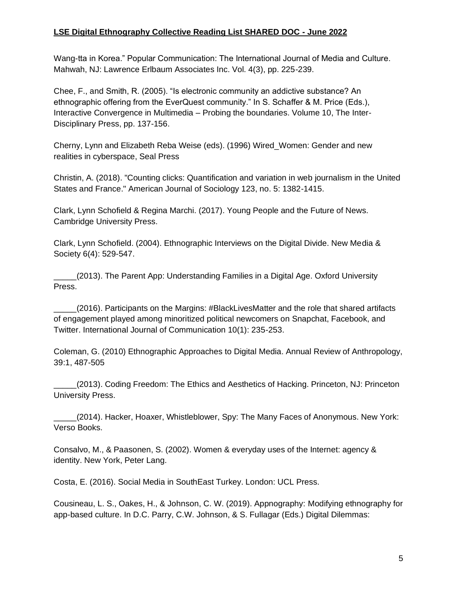Wang-tta in Korea." Popular Communication: The International Journal of Media and Culture. Mahwah, NJ: Lawrence Erlbaum Associates Inc. Vol. 4(3), pp. 225-239.

Chee, F., and Smith, R. (2005). "Is electronic community an addictive substance? An ethnographic offering from the EverQuest community." In S. Schaffer & M. Price (Eds.), Interactive Convergence in Multimedia – Probing the boundaries. Volume 10, The Inter-Disciplinary Press, pp. 137-156.

Cherny, Lynn and Elizabeth Reba Weise (eds). (1996) Wired\_Women: Gender and new realities in cyberspace, Seal Press

Christin, A. (2018). "Counting clicks: Quantification and variation in web journalism in the United States and France." American Journal of Sociology 123, no. 5: 1382-1415.

Clark, Lynn Schofield & Regina Marchi. (2017). Young People and the Future of News. Cambridge University Press.

Clark, Lynn Schofield. (2004). Ethnographic Interviews on the Digital Divide. New Media & Society 6(4): 529-547.

(2013). The Parent App: Understanding Families in a Digital Age. Oxford University Press.

\_\_\_\_\_(2016). Participants on the Margins: #BlackLivesMatter and the role that shared artifacts of engagement played among minoritized political newcomers on Snapchat, Facebook, and Twitter. International Journal of Communication 10(1): 235-253.

Coleman, G. (2010) Ethnographic Approaches to Digital Media. Annual Review of Anthropology, 39:1, 487-505

\_\_\_\_\_(2013). Coding Freedom: The Ethics and Aesthetics of Hacking. Princeton, NJ: Princeton University Press.

(2014). Hacker, Hoaxer, Whistleblower, Spy: The Many Faces of Anonymous. New York: Verso Books.

Consalvo, M., & Paasonen, S. (2002). Women & everyday uses of the Internet: agency & identity. New York, Peter Lang.

Costa, E. (2016). Social Media in SouthEast Turkey. London: UCL Press.

Cousineau, L. S., Oakes, H., & Johnson, C. W. (2019). Appnography: Modifying ethnography for app-based culture. In D.C. Parry, C.W. Johnson, & S. Fullagar (Eds.) Digital Dilemmas: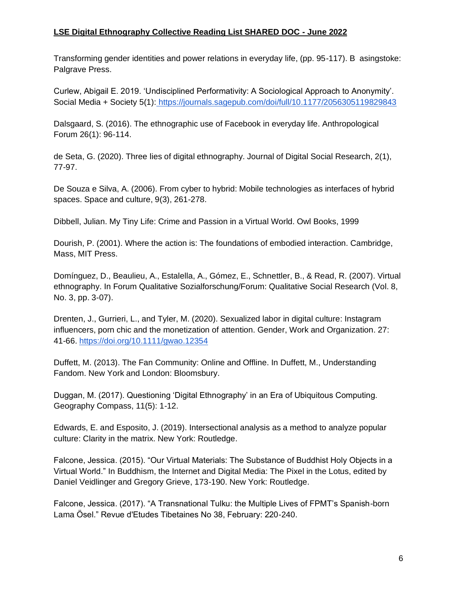Transforming gender identities and power relations in everyday life, (pp. 95-117). B asingstoke: Palgrave Press.

Curlew, Abigail E. 2019. 'Undisciplined Performativity: A Sociological Approach to Anonymity'. Social Media + Society 5(1): <https://journals.sagepub.com/doi/full/10.1177/2056305119829843>

Dalsgaard, S. (2016). The ethnographic use of Facebook in everyday life. Anthropological Forum 26(1): 96-114.

de Seta, G. (2020). Three lies of digital ethnography. Journal of Digital Social Research, 2(1), 77-97.

De Souza e Silva, A. (2006). From cyber to hybrid: Mobile technologies as interfaces of hybrid spaces. Space and culture, 9(3), 261-278.

Dibbell, Julian. My Tiny Life: Crime and Passion in a Virtual World. Owl Books, 1999

Dourish, P. (2001). Where the action is: The foundations of embodied interaction. Cambridge, Mass, MIT Press.

Domínguez, D., Beaulieu, A., Estalella, A., Gómez, E., Schnettler, B., & Read, R. (2007). Virtual ethnography. In Forum Qualitative Sozialforschung/Forum: Qualitative Social Research (Vol. 8, No. 3, pp. 3-07).

Drenten, J., Gurrieri, L., and Tyler, M. (2020). Sexualized labor in digital culture: Instagram influencers, porn chic and the monetization of attention. Gender, Work and Organization. 27: 41-66.<https://doi.org/10.1111/gwao.12354>

Duffett, M. (2013). The Fan Community: Online and Offline. In Duffett, M., Understanding Fandom. New York and London: Bloomsbury.

Duggan, M. (2017). Questioning 'Digital Ethnography' in an Era of Ubiquitous Computing. Geography Compass, 11(5): 1-12.

Edwards, E. and Esposito, J. (2019). Intersectional analysis as a method to analyze popular culture: Clarity in the matrix. New York: Routledge.

Falcone, Jessica. (2015). "Our Virtual Materials: The Substance of Buddhist Holy Objects in a Virtual World." In Buddhism, the Internet and Digital Media: The Pixel in the Lotus, edited by Daniel Veidlinger and Gregory Grieve, 173-190. New York: Routledge.

Falcone, Jessica. (2017). "A Transnational Tulku: the Multiple Lives of FPMT's Spanish-born Lama Ӧsel." Revue d'Etudes Tibetaines No 38, February: 220-240.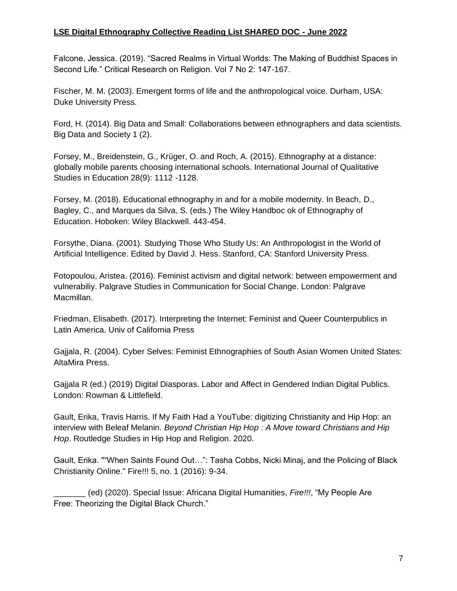Falcone, Jessica. (2019). "Sacred Realms in Virtual Worlds: The Making of Buddhist Spaces in Second Life." Critical Research on Religion. Vol 7 No 2: 147-167.

Fischer, M. M. (2003). Emergent forms of life and the anthropological voice. Durham, USA: Duke University Press.

Ford, H. (2014). Big Data and Small: Collaborations between ethnographers and data scientists. Big Data and Society 1 (2).

Forsey, M., Breidenstein, G., Krüger, O. and Roch, A. (2015). Ethnography at a distance: globally mobile parents choosing international schools. International Journal of Qualitative Studies in Education 28(9): 1112 -1128.

Forsey, M. (2018). Educational ethnography in and for a mobile modernity. In Beach, D., Bagley, C., and Marques da Silva, S. (eds.) The Wiley Handboc ok of Ethnography of Education. Hoboken: Wiley Blackwell. 443-454.

Forsythe, Diana. (2001). Studying Those Who Study Us: An Anthropologist in the World of Artificial Intelligence. Edited by David J. Hess. Stanford, CA: Stanford University Press.

Fotopoulou, Aristea. (2016). Feminist activism and digital network: between empowerment and vulnerabiliy. Palgrave Studies in Communication for Social Change. London: Palgrave Macmillan.

Friedman, Elisabeth. (2017). Interpreting the Internet: Feminist and Queer Counterpublics in Latin America. Univ of California Press

Gajjala, R. (2004). Cyber Selves: Feminist Ethnographies of South Asian Women United States: AltaMira Press.

Gajjala R (ed.) (2019) Digital Diasporas. Labor and Affect in Gendered Indian Digital Publics. London: Rowman & Littlefield.

Gault, Erika, Travis Harris. If My Faith Had a YouTube: digitizing Christianity and Hip Hop: an interview with Beleaf Melanin. *Beyond Christian Hip Hop : A Move toward Christians and Hip Hop*. Routledge Studies in Hip Hop and Religion. 2020.

Gault, Erika. ""When Saints Found Out…": Tasha Cobbs, Nicki Minaj, and the Policing of Black Christianity Online." Fire!!! 5, no. 1 (2016): 9-34.

\_\_\_\_\_\_\_ (ed) (2020). Special Issue: Africana Digital Humanities, *Fire!!!*, "My People Are Free: Theorizing the Digital Black Church."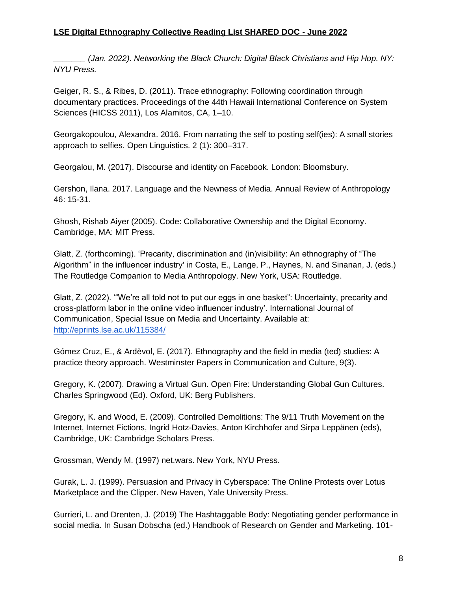*\_\_\_\_\_\_\_ (Jan. 2022). Networking the Black Church: Digital Black Christians and Hip Hop. NY: NYU Press.* 

Geiger, R. S., & Ribes, D. (2011). Trace ethnography: Following coordination through documentary practices. Proceedings of the 44th Hawaii International Conference on System Sciences (HICSS 2011), Los Alamitos, CA, 1–10.

Georgakopoulou, Alexandra. 2016. From narrating the self to posting self(ies): A small stories approach to selfies. Open Linguistics. 2 (1): 300–317.

Georgalou, M. (2017). Discourse and identity on Facebook. London: Bloomsbury.

Gershon, Ilana. 2017. Language and the Newness of Media. Annual Review of Anthropology 46: 15-31.

Ghosh, Rishab Aiyer (2005). Code: Collaborative Ownership and the Digital Economy. Cambridge, MA: MIT Press.

Glatt, Z. (forthcoming). 'Precarity, discrimination and (in)visibility: An ethnography of "The Algorithm" in the influencer industry' in Costa, E., Lange, P., Haynes, N. and Sinanan, J. (eds.) The Routledge Companion to Media Anthropology. New York, USA: Routledge.

Glatt, Z. (2022). '"We're all told not to put our eggs in one basket": Uncertainty, precarity and cross-platform labor in the online video influencer industry'. International Journal of Communication, Special Issue on Media and Uncertainty. Available at: <http://eprints.lse.ac.uk/115384/>

Gómez Cruz, E., & Ardèvol, E. (2017). Ethnography and the field in media (ted) studies: A practice theory approach. Westminster Papers in Communication and Culture, 9(3).

Gregory, K. (2007). Drawing a Virtual Gun. Open Fire: Understanding Global Gun Cultures. Charles Springwood (Ed). Oxford, UK: Berg Publishers.

Gregory, K. and Wood, E. (2009). Controlled Demolitions: The 9/11 Truth Movement on the Internet, Internet Fictions, Ingrid Hotz-Davies, Anton Kirchhofer and Sirpa Leppänen (eds), Cambridge, UK: Cambridge Scholars Press.

Grossman, Wendy M. (1997) net.wars. New York, NYU Press.

Gurak, L. J. (1999). Persuasion and Privacy in Cyberspace: The Online Protests over Lotus Marketplace and the Clipper. New Haven, Yale University Press.

Gurrieri, L. and Drenten, J. (2019) The Hashtaggable Body: Negotiating gender performance in social media. In Susan Dobscha (ed.) Handbook of Research on Gender and Marketing. 101-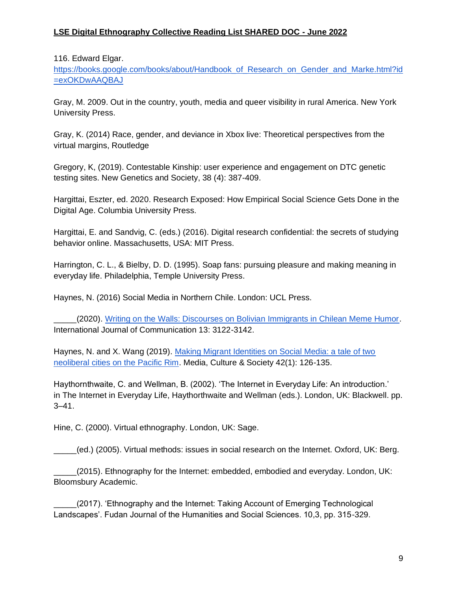116. Edward Elgar.

[https://books.google.com/books/about/Handbook\\_of\\_Research\\_on\\_Gender\\_and\\_Marke.html?id](https://books.google.com/books/about/Handbook_of_Research_on_Gender_and_Marke.html?id=exOKDwAAQBAJ) [=exOKDwAAQBAJ](https://books.google.com/books/about/Handbook_of_Research_on_Gender_and_Marke.html?id=exOKDwAAQBAJ)

Gray, M. 2009. Out in the country, youth, media and queer visibility in rural America. New York University Press.

Gray, K. (2014) Race, gender, and deviance in Xbox live: Theoretical perspectives from the virtual margins, Routledge

Gregory, K, (2019). Contestable Kinship: user experience and engagement on DTC genetic testing sites. New Genetics and Society, 38 (4): 387-409.

Hargittai, Eszter, ed. 2020. Research Exposed: How Empirical Social Science Gets Done in the Digital Age. Columbia University Press.

Hargittai, E. and Sandvig, C. (eds.) (2016). Digital research confidential: the secrets of studying behavior online. Massachusetts, USA: MIT Press.

Harrington, C. L., & Bielby, D. D. (1995). Soap fans: pursuing pleasure and making meaning in everyday life. Philadelphia, Temple University Press.

Haynes, N. (2016) Social Media in Northern Chile. London: UCL Press.

\_\_\_\_\_(2020). [Writing on the Walls: Discourses on Bolivian Immigrants in Chilean Meme Humor.](https://ijoc.org/index.php/ijoc/article/viewFile/9109/2714) International Journal of Communication 13: 3122-3142.

Haynes, N. and X. Wang (2019). [Making Migrant Identities on Social Media: a tale of two](https://journals.sagepub.com/doi/full/10.1177/0163443719884060)  [neoliberal cities on the Pacific Rim.](https://journals.sagepub.com/doi/full/10.1177/0163443719884060) Media, Culture & Society 42(1): 126-135.

Haythornthwaite, C. and Wellman, B. (2002). 'The Internet in Everyday Life: An introduction.' in The Internet in Everyday Life, Haythorthwaite and Wellman (eds.). London, UK: Blackwell. pp. 3–41.

Hine, C. (2000). Virtual ethnography. London, UK: Sage.

\_\_\_\_\_(ed.) (2005). Virtual methods: issues in social research on the Internet. Oxford, UK: Berg.

\_\_\_\_\_(2015). Ethnography for the Internet: embedded, embodied and everyday. London, UK: Bloomsbury Academic.

\_\_\_\_\_(2017). 'Ethnography and the Internet: Taking Account of Emerging Technological Landscapes'. Fudan Journal of the Humanities and Social Sciences. 10,3, pp. 315-329.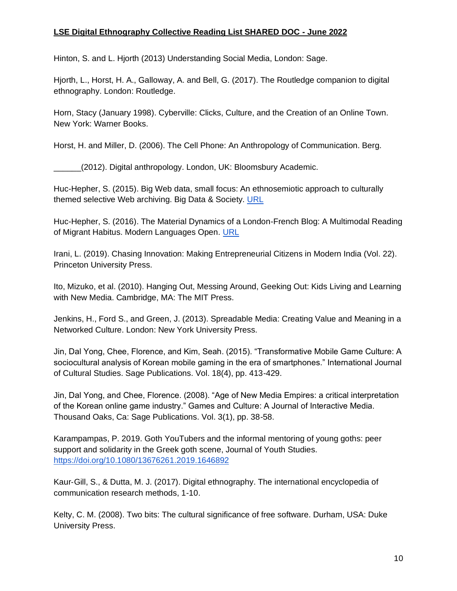Hinton, S. and L. Hjorth (2013) Understanding Social Media, London: Sage.

Hjorth, L., Horst, H. A., Galloway, A. and Bell, G. (2017). The Routledge companion to digital ethnography. London: Routledge.

Horn, Stacy (January 1998). Cyberville: Clicks, Culture, and the Creation of an Online Town. New York: Warner Books.

Horst, H. and Miller, D. (2006). The Cell Phone: An Anthropology of Communication. Berg.

(2012). Digital anthropology. London, UK: Bloomsbury Academic.

Huc-Hepher, S. (2015). Big Web data, small focus: An ethnosemiotic approach to culturally themed selective Web archiving. Big Data & Society. [URL](https://journals.sagepub.com/doi/full/10.1177/2053951715595823)

Huc-Hepher, S. (2016). The Material Dynamics of a London-French Blog: A Multimodal Reading of Migrant Habitus. Modern Languages Open. [URL](https://www.modernlanguagesopen.org/articles/10.3828/mlo.v0i0.91/)

Irani, L. (2019). Chasing Innovation: Making Entrepreneurial Citizens in Modern India (Vol. 22). Princeton University Press.

Ito, Mizuko, et al. (2010). Hanging Out, Messing Around, Geeking Out: Kids Living and Learning with New Media. Cambridge, MA: The MIT Press.

Jenkins, H., Ford S., and Green, J. (2013). Spreadable Media: Creating Value and Meaning in a Networked Culture. London: New York University Press.

Jin, Dal Yong, Chee, Florence, and Kim, Seah. (2015). "Transformative Mobile Game Culture: A sociocultural analysis of Korean mobile gaming in the era of smartphones." International Journal of Cultural Studies. Sage Publications. Vol. 18(4), pp. 413-429.

Jin, Dal Yong, and Chee, Florence. (2008). "Age of New Media Empires: a critical interpretation of the Korean online game industry." Games and Culture: A Journal of Interactive Media. Thousand Oaks, Ca: Sage Publications. Vol. 3(1), pp. 38-58.

Karampampas, P. 2019. Goth YouTubers and the informal mentoring of young goths: peer support and solidarity in the Greek goth scene, Journal of Youth Studies. <https://doi.org/10.1080/13676261.2019.1646892>

Kaur‐Gill, S., & Dutta, M. J. (2017). Digital ethnography. The international encyclopedia of communication research methods, 1-10.

Kelty, C. M. (2008). Two bits: The cultural significance of free software. Durham, USA: Duke University Press.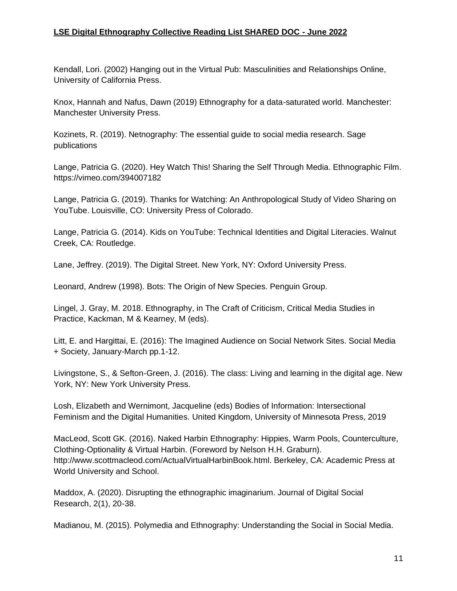Kendall, Lori. (2002) Hanging out in the Virtual Pub: Masculinities and Relationships Online, University of California Press.

Knox, Hannah and Nafus, Dawn (2019) Ethnography for a data-saturated world. Manchester: Manchester University Press.

Kozinets, R. (2019). Netnography: The essential guide to social media research. Sage publications

Lange, Patricia G. (2020). Hey Watch This! Sharing the Self Through Media. Ethnographic Film. https://vimeo.com/394007182

Lange, Patricia G. (2019). Thanks for Watching: An Anthropological Study of Video Sharing on YouTube. Louisville, CO: University Press of Colorado.

Lange, Patricia G. (2014). Kids on YouTube: Technical Identities and Digital Literacies. Walnut Creek, CA: Routledge.

Lane, Jeffrey. (2019). The Digital Street. New York, NY: Oxford University Press.

Leonard, Andrew (1998). Bots: The Origin of New Species. Penguin Group.

Lingel, J. Gray, M. 2018. Ethnography, in The Craft of Criticism, Critical Media Studies in Practice, Kackman, M & Kearney, M (eds).

Litt, E. and Hargittai, E. (2016): The Imagined Audience on Social Network Sites. Social Media + Society, January-March pp.1-12.

Livingstone, S., & Sefton-Green, J. (2016). The class: Living and learning in the digital age. New York, NY: New York University Press.

Losh, Elizabeth and Wernimont, Jacqueline (eds) Bodies of Information: Intersectional Feminism and the Digital Humanities. United Kingdom, University of Minnesota Press, 2019

MacLeod, Scott GK. (2016). Naked Harbin Ethnography: Hippies, Warm Pools, Counterculture, Clothing-Optionality & Virtual Harbin. (Foreword by Nelson H.H. Graburn). http://www.scottmacleod.com/ActualVirtualHarbinBook.html. Berkeley, CA: Academic Press at World University and School.

Maddox, A. (2020). Disrupting the ethnographic imaginarium. Journal of Digital Social Research, 2(1), 20-38.

Madianou, M. (2015). Polymedia and Ethnography: Understanding the Social in Social Media.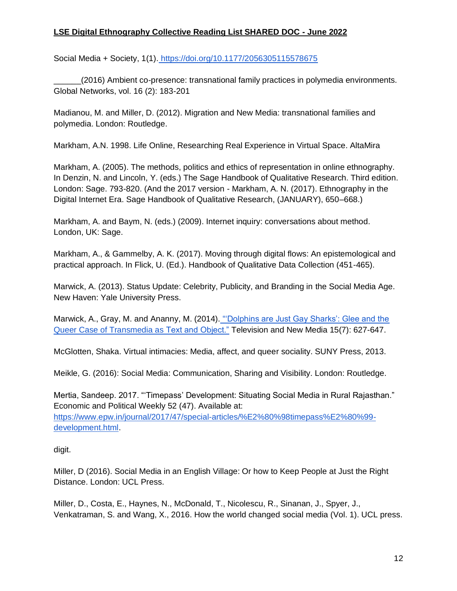Social Media + Society, 1(1). <https://doi.org/10.1177/2056305115578675>

\_\_\_\_\_\_(2016) Ambient co-presence: transnational family practices in polymedia environments. Global Networks, vol. 16 (2): 183-201

Madianou, M. and Miller, D. (2012). Migration and New Media: transnational families and polymedia. London: Routledge.

Markham, A.N. 1998. Life Online, Researching Real Experience in Virtual Space. AltaMira

Markham, A. (2005). The methods, politics and ethics of representation in online ethnography. In Denzin, N. and Lincoln, Y. (eds.) The Sage Handbook of Qualitative Research. Third edition. London: Sage. 793-820. (And the 2017 version - Markham, A. N. (2017). Ethnography in the Digital Internet Era. Sage Handbook of Qualitative Research, (JANUARY), 650–668.)

Markham, A. and Baym, N. (eds.) (2009). Internet inquiry: conversations about method. London, UK: Sage.

Markham, A., & Gammelby, A. K. (2017). Moving through digital flows: An epistemological and practical approach. In Flick, U. (Ed.). Handbook of Qualitative Data Collection (451-465).

Marwick, A. (2013). Status Update: Celebrity, Publicity, and Branding in the Social Media Age. New Haven: Yale University Press.

Marwick, A., Gray, M. and Ananny, M. (2014). ""Dolphins are Just Gay Sharks': Glee and the [Queer Case of Transmedia as](https://journals.sagepub.com/doi/abs/10.1177/1527476413478493) Text and Object." Television and New Media 15(7): 627-647.

McGlotten, Shaka. Virtual intimacies: Media, affect, and queer sociality. SUNY Press, 2013.

Meikle, G. (2016): Social Media: Communication, Sharing and Visibility. London: Routledge.

Mertia, Sandeep. 2017. "'Timepass' Development: Situating Social Media in Rural Rajasthan." Economic and Political Weekly 52 (47). Available at: [https://www.epw.in/journal/2017/47/special-articles/%E2%80%98timepass%E2%80%99](https://www.epw.in/journal/2017/47/special-articles/%E2%80%98timepass%E2%80%99-development.html) [development.html.](https://www.epw.in/journal/2017/47/special-articles/%E2%80%98timepass%E2%80%99-development.html)

digit.

Miller, D (2016). Social Media in an English Village: Or how to Keep People at Just the Right Distance. London: UCL Press.

Miller, D., Costa, E., Haynes, N., McDonald, T., Nicolescu, R., Sinanan, J., Spyer, J., Venkatraman, S. and Wang, X., 2016. How the world changed social media (Vol. 1). UCL press.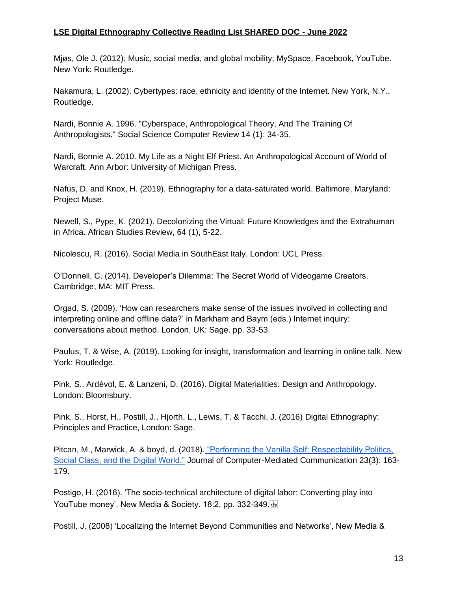Mjøs, Ole J. (2012): Music, social media, and global mobility: MySpace, Facebook, YouTube. New York: Routledge.

Nakamura, L. (2002). Cybertypes: race, ethnicity and identity of the Internet. New York, N.Y., Routledge.

Nardi, Bonnie A. 1996. "Cyberspace, Anthropological Theory, And The Training Of Anthropologists." Social Science Computer Review 14 (1): 34-35.

Nardi, Bonnie A. 2010. My Life as a Night Elf Priest. An Anthropological Account of World of Warcraft. Ann Arbor: University of Michigan Press.

Nafus, D. and Knox, H. (2019). Ethnography for a data-saturated world. Baltimore, Maryland: Project Muse.

Newell, S., Pype, K. (2021). Decolonizing the Virtual: Future Knowledges and the Extrahuman in Africa. African Studies Review, 64 (1), 5-22.

Nicolescu, R. (2016). Social Media in SouthEast Italy. London: UCL Press.

O'Donnell, C. (2014). Developer's Dilemma: The Secret World of Videogame Creators. Cambridge, MA: MIT Press.

Orgad, S. (2009). 'How can researchers make sense of the issues involved in collecting and interpreting online and offline data?' in Markham and Baym (eds.) Internet inquiry: conversations about method. London, UK: Sage. pp. 33-53.

Paulus, T. & Wise, A. (2019). Looking for insight, transformation and learning in online talk. New York: Routledge.

Pink, S., Ardévol, E. & Lanzeni, D. (2016). Digital Materialities: Design and Anthropology. London: Bloomsbury.

Pink, S., Horst, H., Postill, J., Hjorth, L., Lewis, T. & Tacchi, J. (2016) Digital Ethnography: Principles and Practice, London: Sage.

Pitcan, M., Marwick, A. & boyd, d. (2018). ["Performing the Vanilla Self: Respectability Politics,](https://academic.oup.com/jcmc/article/23/3/163/4962541)  [Social Class, and the Digital World."](https://academic.oup.com/jcmc/article/23/3/163/4962541) Journal of Computer-Mediated Communication 23(3): 163- 179.

Postigo, H. (2016). 'The socio-technical architecture of digital labor: Converting play into YouTube money'. New Media & Society. 18:2, pp. 332-349.

Postill, J. (2008) 'Localizing the Internet Beyond Communities and Networks', New Media &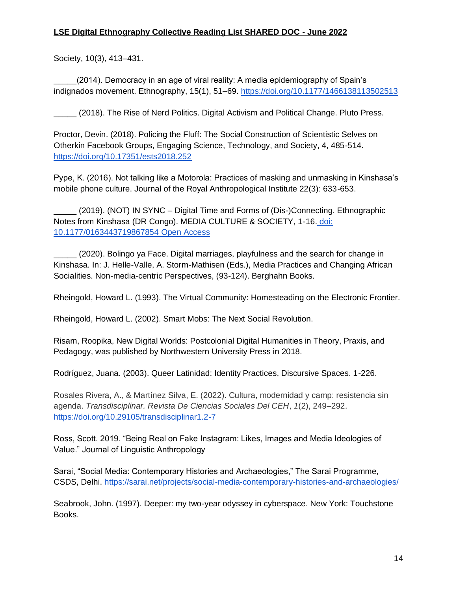Society, 10(3), 413–431.

\_\_\_\_\_(2014). Democracy in an age of viral reality: A media epidemiography of Spain's indignados movement. Ethnography, 15(1), 51–69.<https://doi.org/10.1177/1466138113502513>

\_\_\_\_\_ (2018). The Rise of Nerd Politics. Digital Activism and Political Change. Pluto Press.

Proctor, Devin. (2018). Policing the Fluff: The Social Construction of Scientistic Selves on Otherkin Facebook Groups, Engaging Science, Technology, and Society, 4, 485-514. <https://doi.org/10.17351/ests2018.252>

Pype, K. (2016). Not talking like a Motorola: Practices of masking and unmasking in Kinshasa's mobile phone culture. Journal of the Royal Anthropological Institute 22(3): 633-653.

(2019). (NOT) IN SYNC – Digital Time and Forms of (Dis-)Connecting. Ethnographic Notes from Kinshasa (DR Congo). MEDIA CULTURE & SOCIETY, 1-16. [doi:](https://doi.org/10.1177/0163443719867854)  [10.1177/0163443719867854](https://doi.org/10.1177/0163443719867854) [Open Access](https://lirias.kuleuven.be/retrieve/541442)

\_\_\_\_\_ (2020). Bolingo ya Face. Digital marriages, playfulness and the search for change in Kinshasa. In: J. Helle-Valle, A. Storm-Mathisen (Eds.), Media Practices and Changing African Socialities. Non-media-centric Perspectives, (93-124). Berghahn Books.

Rheingold, Howard L. (1993). The Virtual Community: Homesteading on the Electronic Frontier.

Rheingold, Howard L. (2002). Smart Mobs: The Next Social Revolution.

Risam, Roopika, New Digital Worlds: Postcolonial Digital Humanities in Theory, Praxis, and Pedagogy, was published by Northwestern University Press in 2018.

Rodríguez, Juana. (2003). Queer Latinidad: Identity Practices, Discursive Spaces. 1-226.

Rosales Rivera, A., & Martínez Silva, E. (2022). Cultura, modernidad y camp: resistencia sin agenda. *Transdisciplinar. Revista De Ciencias Sociales Del CEH*, *1*(2), 249–292. <https://doi.org/10.29105/transdisciplinar1.2-7>

Ross, Scott. 2019. "Being Real on Fake Instagram: Likes, Images and Media Ideologies of Value." Journal of Linguistic Anthropology

Sarai, "Social Media: Contemporary Histories and Archaeologies," The Sarai Programme, CSDS, Delhi.<https://sarai.net/projects/social-media-contemporary-histories-and-archaeologies/>

Seabrook, John. (1997). Deeper: my two-year odyssey in cyberspace. New York: Touchstone Books.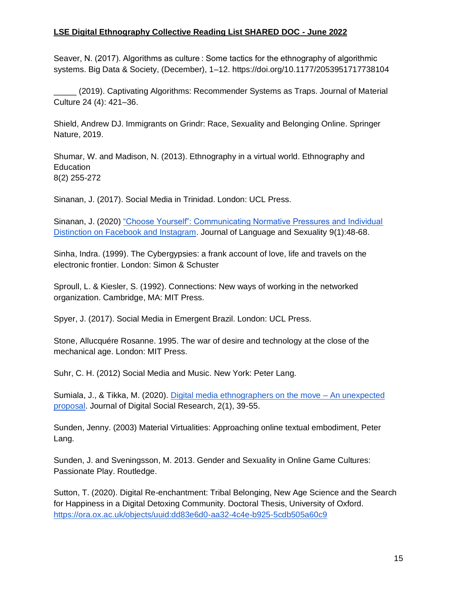Seaver, N. (2017). Algorithms as culture : Some tactics for the ethnography of algorithmic systems. Big Data & Society, (December), 1–12. https://doi.org/10.1177/2053951717738104

\_\_\_\_\_ (2019). Captivating Algorithms: Recommender Systems as Traps. Journal of Material Culture 24 (4): 421–36.

Shield, Andrew DJ. Immigrants on Grindr: Race, Sexuality and Belonging Online. Springer Nature, 2019.

Shumar, W. and Madison, N. (2013). Ethnography in a virtual world. Ethnography and **Education** 8(2) 255-272

Sinanan, J. (2017). Social Media in Trinidad. London: UCL Press.

Sinanan, J. (2020) ["Choose Yourself": Communicating Normative Pressures and Individual](https://benjamins.com/catalog/jls.19004.sin)  [Distinction on Facebook and Instagram.](https://benjamins.com/catalog/jls.19004.sin) Journal of Language and Sexuality 9(1):48-68.

Sinha, Indra. (1999). The Cybergypsies: a frank account of love, life and travels on the electronic frontier. London: Simon & Schuster

Sproull, L. & Kiesler, S. (1992). Connections: New ways of working in the networked organization. Cambridge, MA: MIT Press.

Spyer, J. (2017). Social Media in Emergent Brazil. London: UCL Press.

Stone, Allucquére Rosanne. 1995. The war of desire and technology at the close of the mechanical age. London: MIT Press.

Suhr, C. H. (2012) Social Media and Music. New York: Peter Lang.

Sumiala, J., & Tikka, M. (2020). [Digital media ethnographers on the move –](https://jdsr.se/ojs/index.php/jdsr/article/view/37) An unexpected [proposal.](https://jdsr.se/ojs/index.php/jdsr/article/view/37) Journal of Digital Social Research, 2(1), 39-55.

Sunden, Jenny. (2003) Material Virtualities: Approaching online textual embodiment, Peter Lang.

Sunden, J. and Sveningsson, M. 2013. Gender and Sexuality in Online Game Cultures: Passionate Play. Routledge.

Sutton, T. (2020). Digital Re-enchantment: Tribal Belonging, New Age Science and the Search for Happiness in a Digital Detoxing Community. Doctoral Thesis, University of Oxford. <https://ora.ox.ac.uk/objects/uuid:dd83e6d0-aa32-4c4e-b925-5cdb505a60c9>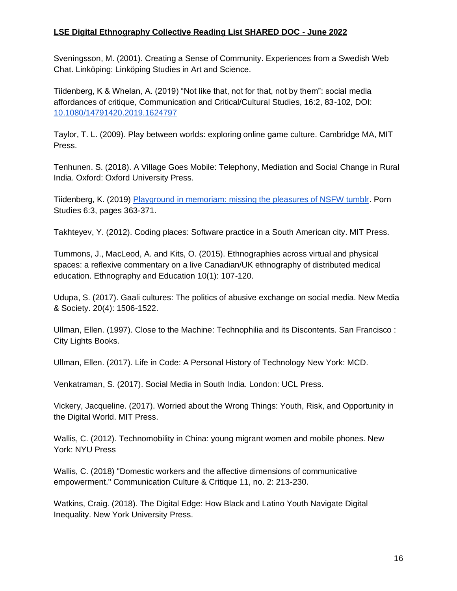Sveningsson, M. (2001). Creating a Sense of Community. Experiences from a Swedish Web Chat. Linköping: Linköping Studies in Art and Science.

Tiidenberg, K & Whelan, A. (2019) "Not like that, not for that, not by them": social media affordances of critique, Communication and Critical/Cultural Studies, 16:2, 83-102, DOI: [10.1080/14791420.2019.1624797](https://doi.org/10.1080/14791420.2019.1624797)

Taylor, T. L. (2009). Play between worlds: exploring online game culture. Cambridge MA, MIT Press.

Tenhunen. S. (2018). A Village Goes Mobile: Telephony, Mediation and Social Change in Rural India. Oxford: Oxford University Press.

Tiidenberg, K. (2019) [Playground in memoriam: missing the pleasures of NSFW tumblr.](https://www.tandfonline.com/doi/abs/10.1080/23268743.2019.1667048) Porn Studies 6:3, pages 363-371.

Takhteyev, Y. (2012). Coding places: Software practice in a South American city. MIT Press.

Tummons, J., MacLeod, A. and Kits, O. (2015). Ethnographies across virtual and physical spaces: a reflexive commentary on a live Canadian/UK ethnography of distributed medical education. Ethnography and Education 10(1): 107-120.

Udupa, S. (2017). Gaali cultures: The politics of abusive exchange on social media. New Media & Society. 20(4): 1506-1522.

Ullman, Ellen. (1997). Close to the Machine: Technophilia and its Discontents. San Francisco : City Lights Books.

Ullman, Ellen. (2017). Life in Code: A Personal History of Technology New York: MCD.

Venkatraman, S. (2017). Social Media in South India. London: UCL Press.

Vickery, Jacqueline. (2017). Worried about the Wrong Things: Youth, Risk, and Opportunity in the Digital World. MIT Press.

Wallis, C. (2012). Technomobility in China: young migrant women and mobile phones. New York: NYU Press

Wallis, C. (2018) "Domestic workers and the affective dimensions of communicative empowerment." Communication Culture & Critique 11, no. 2: 213-230.

Watkins, Craig. (2018). The Digital Edge: How Black and Latino Youth Navigate Digital Inequality. New York University Press.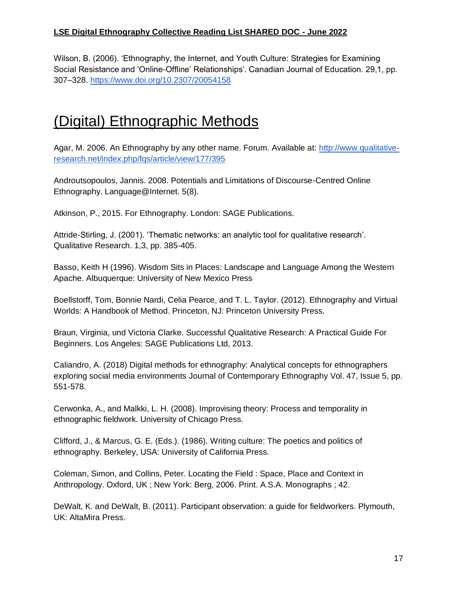Wilson, B. (2006). 'Ethnography, the Internet, and Youth Culture: Strategies for Examining Social Resistance and 'Online-Offline' Relationships'. Canadian Journal of Education. 29,1, pp. 307–328.<https://www.doi.org/10.2307/20054158>

# <span id="page-16-0"></span>(Digital) Ethnographic Methods

Agar, M. 2006. An Ethnography by any other name. Forum. Available at: [http://www.qualitative](http://www.qualitative-research.net/index.php/fqs/article/view/177/395)[research.net/index.php/fqs/article/view/177/395](http://www.qualitative-research.net/index.php/fqs/article/view/177/395)

Androutsopoulos, Jannis. 2008. Potentials and Limitations of Discourse-Centred Online Ethnography. Language@Internet. 5(8).

Atkinson, P., 2015. For Ethnography. London: SAGE Publications.

Attride-Stirling, J. (2001). 'Thematic networks: an analytic tool for qualitative research'. Qualitative Research. 1,3, pp. 385-405.

Basso, Keith H (1996). Wisdom Sits in Places: Landscape and Language Among the Western Apache. Albuquerque: University of New Mexico Press

Boellstorff, Tom, Bonnie Nardi, Celia Pearce, and T. L. Taylor. (2012). Ethnography and Virtual Worlds: A Handbook of Method. Princeton, NJ: Princeton University Press.

Braun, Virginia, und Victoria Clarke. Successful Qualitative Research: A Practical Guide For Beginners. Los Angeles: SAGE Publications Ltd, 2013.

Caliandro, A. (2018) Digital methods for ethnography: Analytical concepts for ethnographers exploring social media environments Journal of Contemporary Ethnography Vol. 47, Issue 5, pp. 551-578.

Cerwonka, A., and Malkki, L. H. (2008). Improvising theory: Process and temporality in ethnographic fieldwork. University of Chicago Press.

Clifford, J., & Marcus, G. E. (Eds.). (1986). Writing culture: The poetics and politics of ethnography. Berkeley, USA: University of California Press.

Coleman, Simon, and Collins, Peter. Locating the Field : Space, Place and Context in Anthropology. Oxford, UK ; New York: Berg, 2006. Print. A.S.A. Monographs ; 42.

DeWalt, K. and DeWalt, B. (2011). Participant observation: a guide for fieldworkers. Plymouth, UK: AltaMira Press.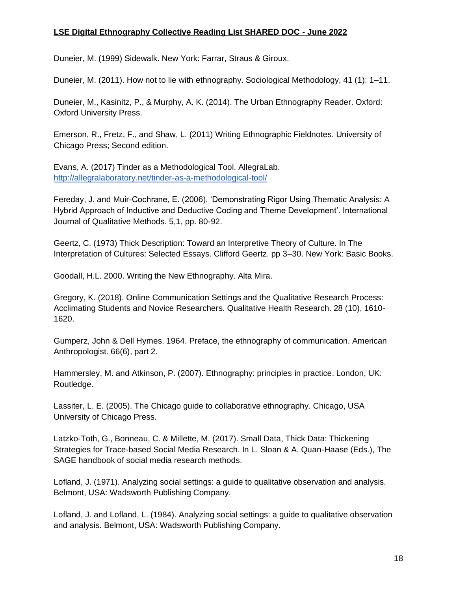Duneier, M. (1999) Sidewalk. New York: Farrar, Straus & Giroux.

Duneier, M. (2011). How not to lie with ethnography. Sociological Methodology, 41 (1): 1–11.

Duneier, M., Kasinitz, P., & Murphy, A. K. (2014). The Urban Ethnography Reader. Oxford: Oxford University Press.

Emerson, R., Fretz, F., and Shaw, L. (2011) Writing Ethnographic Fieldnotes. University of Chicago Press; Second edition.

Evans, A. (2017) Tinder as a Methodological Tool. AllegraLab. <http://allegralaboratory.net/tinder-as-a-methodological-tool/>

Fereday, J. and Muir-Cochrane, E. (2006). 'Demonstrating Rigor Using Thematic Analysis: A Hybrid Approach of Inductive and Deductive Coding and Theme Development'. International Journal of Qualitative Methods. 5,1, pp. 80-92.

Geertz, C. (1973) Thick Description: Toward an Interpretive Theory of Culture. In The Interpretation of Cultures: Selected Essays. Clifford Geertz. pp 3–30. New York: Basic Books.

Goodall, H.L. 2000. Writing the New Ethnography. Alta Mira.

Gregory, K. (2018). Online Communication Settings and the Qualitative Research Process: Acclimating Students and Novice Researchers. Qualitative Health Research. 28 (10), 1610- 1620.

Gumperz, John & Dell Hymes. 1964. Preface, the ethnography of communication. American Anthropologist. 66(6), part 2.

Hammersley, M. and Atkinson, P. (2007). Ethnography: principles in practice. London, UK: Routledge.

Lassiter, L. E. (2005). The Chicago guide to collaborative ethnography. Chicago, USA University of Chicago Press.

Latzko-Toth, G., Bonneau, C. & Millette, M. (2017). Small Data, Thick Data: Thickening Strategies for Trace-based Social Media Research. In L. Sloan & A. Quan-Haase (Eds.), The SAGE handbook of social media research methods.

Lofland, J. (1971). Analyzing social settings: a guide to qualitative observation and analysis. Belmont, USA: Wadsworth Publishing Company.

Lofland, J. and Lofland, L. (1984). Analyzing social settings: a guide to qualitative observation and analysis. Belmont, USA: Wadsworth Publishing Company.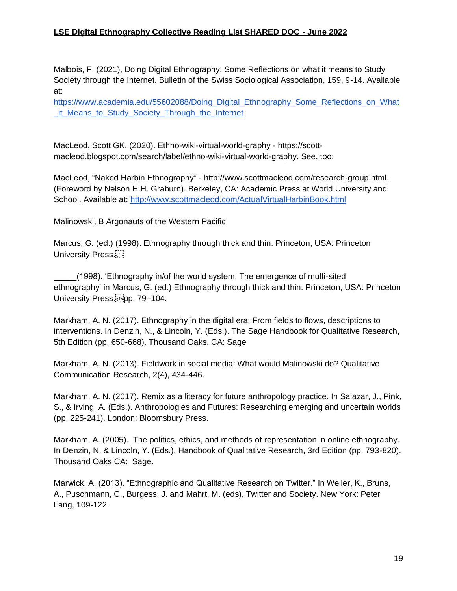Malbois, F. (2021), Doing Digital Ethnography. Some Reflections on what it means to Study Society through the Internet. Bulletin of the Swiss Sociological Association, 159, 9-14. Available at:

[https://www.academia.edu/55602088/Doing\\_Digital\\_Ethnography\\_Some\\_Reflections\\_on\\_What](https://www.academia.edu/55602088/Doing_Digital_Ethnography_Some_Reflections_on_What_it_Means_to_Study_Society_Through_the_Internet) [\\_it\\_Means\\_to\\_Study\\_Society\\_Through\\_the\\_Internet](https://www.academia.edu/55602088/Doing_Digital_Ethnography_Some_Reflections_on_What_it_Means_to_Study_Society_Through_the_Internet)

MacLeod, Scott GK. (2020). Ethno-wiki-virtual-world-graphy - https://scottmacleod.blogspot.com/search/label/ethno-wiki-virtual-world-graphy. See, too:

MacLeod, "Naked Harbin Ethnography" - http://www.scottmacleod.com/research-group.html. (Foreword by Nelson H.H. Graburn). Berkeley, CA: Academic Press at World University and School. Available at: [http://www.scottmacleod.com/ActualVirtualHarbinBook.html](http://www.scottmacleod.com/ActualVirtualHarbinBook.htm)

Malinowski, B Argonauts of the Western Pacific

Marcus, G. (ed.) (1998). Ethnography through thick and thin. Princeton, USA: Princeton University Press.

\_\_\_\_\_(1998). 'Ethnography in/of the world system: The emergence of multi-sited ethnography' in Marcus, G. (ed.) Ethnography through thick and thin. Princeton, USA: Princeton University Press. Fripp. 79-104.

Markham, A. N. (2017). Ethnography in the digital era: From fields to flows, descriptions to interventions. In Denzin, N., & Lincoln, Y. (Eds.). The Sage Handbook for Qualitative Research, 5th Edition (pp. 650-668). Thousand Oaks, CA: Sage

Markham, A. N. (2013). Fieldwork in social media: What would Malinowski do? Qualitative Communication Research, 2(4), 434-446.

Markham, A. N. (2017). Remix as a literacy for future anthropology practice. In Salazar, J., Pink, S., & Irving, A. (Eds.). Anthropologies and Futures: Researching emerging and uncertain worlds (pp. 225-241). London: Bloomsbury Press.

Markham, A. (2005). The politics, ethics, and methods of representation in online ethnography. In Denzin, N. & Lincoln, Y. (Eds.). Handbook of Qualitative Research, 3rd Edition (pp. 793-820). Thousand Oaks CA: Sage.

Marwick, A. (2013). "Ethnographic and Qualitative Research on Twitter." In Weller, K., Bruns, A., Puschmann, C., Burgess, J. and Mahrt, M. (eds), Twitter and Society. New York: Peter Lang, 109-122.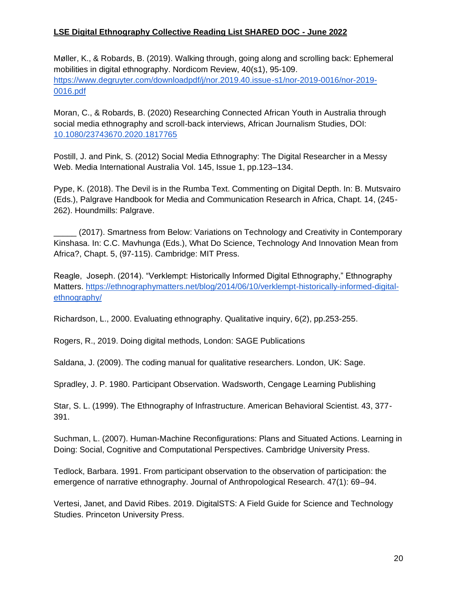Møller, K., & Robards, B. (2019). Walking through, going along and scrolling back: Ephemeral mobilities in digital ethnography. Nordicom Review, 40(s1), 95-109. [https://www.degruyter.com/downloadpdf/j/nor.2019.40.issue-s1/nor-2019-0016/nor-2019-](https://www.degruyter.com/downloadpdf/j/nor.2019.40.issue-s1/nor-2019-0016/nor-2019-0016.pdf) [0016.pdf](https://www.degruyter.com/downloadpdf/j/nor.2019.40.issue-s1/nor-2019-0016/nor-2019-0016.pdf)

Moran, C., & Robards, B. (2020) Researching Connected African Youth in Australia through social media ethnography and scroll-back interviews, African Journalism Studies, DOI: [10.1080/23743670.2020.1817765](https://doi.org/10.1080/23743670.2020.1817765)

Postill, J. and Pink, S. (2012) Social Media Ethnography: The Digital Researcher in a Messy Web. Media International Australia Vol. 145, Issue 1, pp.123–134.

Pype, K. (2018). The Devil is in the Rumba Text. Commenting on Digital Depth. In: B. Mutsvairo (Eds.), Palgrave Handbook for Media and Communication Research in Africa, Chapt. 14, (245- 262). Houndmills: Palgrave.

\_\_\_\_\_ (2017). Smartness from Below: Variations on Technology and Creativity in Contemporary Kinshasa. In: C.C. Mavhunga (Eds.), What Do Science, Technology And Innovation Mean from Africa?, Chapt. 5, (97-115). Cambridge: MIT Press.

Reagle, Joseph. (2014). "Verklempt: Historically Informed Digital Ethnography," Ethnography Matters. [https://ethnographymatters.net/blog/2014/06/10/verklempt-historically-informed-digital](https://ethnographymatters.net/blog/2014/06/10/verklempt-historically-informed-digital-ethnography/)[ethnography/](https://ethnographymatters.net/blog/2014/06/10/verklempt-historically-informed-digital-ethnography/)

Richardson, L., 2000. Evaluating ethnography. Qualitative inquiry, 6(2), pp.253-255.

Rogers, R., 2019. Doing digital methods, London: SAGE Publications

Saldana, J. (2009). The coding manual for qualitative researchers. London, UK: Sage.

Spradley, J. P. 1980. Participant Observation. Wadsworth, Cengage Learning Publishing

Star, S. L. (1999). The Ethnography of Infrastructure. American Behavioral Scientist. 43, 377- 391.

Suchman, L. (2007). Human-Machine Reconfigurations: Plans and Situated Actions. Learning in Doing: Social, Cognitive and Computational Perspectives. Cambridge University Press.

Tedlock, Barbara. 1991. From participant observation to the observation of participation: the emergence of narrative ethnography. Journal of Anthropological Research. 47(1): 69–94.

Vertesi, Janet, and David Ribes. 2019. DigitalSTS: A Field Guide for Science and Technology Studies. Princeton University Press.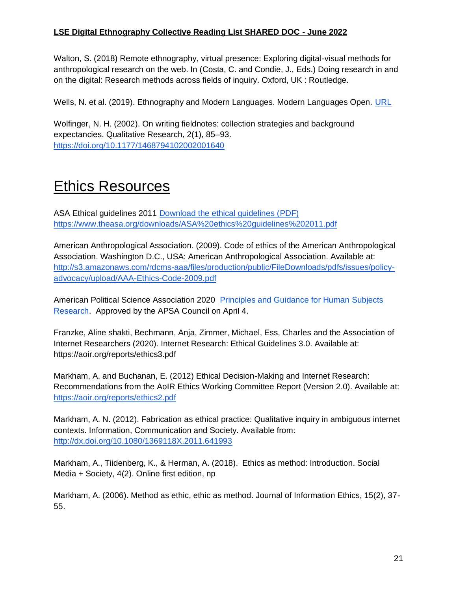Walton, S. (2018) Remote ethnography, virtual presence: Exploring digital-visual methods for anthropological research on the web. In (Costa, C. and Condie, J., Eds.) Doing research in and on the digital: Research methods across fields of inquiry. Oxford, UK : Routledge.

Wells, N. et al. (2019). Ethnography and Modern Languages. Modern Languages Open. [URL](https://www.modernlanguagesopen.org/articles/10.3828/mlo.v0i0.242/)

Wolfinger, N. H. (2002). On writing fieldnotes: collection strategies and background expectancies. Qualitative Research, 2(1), 85–93. <https://doi.org/10.1177/1468794102002001640>

### <span id="page-20-0"></span>Ethics Resources

ASA Ethical guidelines 2011 [Download the ethical guidelines \(PDF\)](https://www.theasa.org/downloads/ASA%20ethics%20guidelines%202011.pdf) <https://www.theasa.org/downloads/ASA%20ethics%20guidelines%202011.pdf>

American Anthropological Association. (2009). Code of ethics of the American Anthropological Association. Washington D.C., USA: American Anthropological Association. Available at[:](http://s3.amazonaws.com/rdcms-aaa/files/production/public/FileDownloads/pdfs/issues/policy-advocacy/upload/AAA-Ethics-Code-2009.pdf) [http://s3.amazonaws.com/rdcms-aaa/files/production/public/FileDownloads/pdfs/issues/policy](http://s3.amazonaws.com/rdcms-aaa/files/production/public/FileDownloads/pdfs/issues/policy-advocacy/upload/AAA-Ethics-Code-2009.pdf)[advocacy/upload/AAA-Ethics-Code-2009.pdf](http://s3.amazonaws.com/rdcms-aaa/files/production/public/FileDownloads/pdfs/issues/policy-advocacy/upload/AAA-Ethics-Code-2009.pdf)

American Political Science Association 2020 [Principles and Guidance for Human Subjects](https://connect.apsanet.org/hsr/principles-and-guidance/)  [Research.](https://connect.apsanet.org/hsr/principles-and-guidance/) Approved by the APSA Council on April 4.

Franzke, Aline shakti, Bechmann, Anja, Zimmer, Michael, Ess, Charles and the Association of Internet Researchers (2020). Internet Research: Ethical Guidelines 3.0. Available at: https://aoir.org/reports/ethics3.pdf

Markham, A. and Buchanan, E. (2012) Ethical Decision-Making and Internet Research: Recommendations from the AoIR Ethics Working Committee Report (Version 2.0). Available at[:](https://aoir.org/reports/ethics2.pdf) <https://aoir.org/reports/ethics2.pdf>

Markham, A. N. (2012). Fabrication as ethical practice: Qualitative inquiry in ambiguous internet contexts. Information, Communication and Society. Available from: <http://dx.doi.org/10.1080/1369118X.2011.641993>

Markham, A., Tiidenberg, K., & Herman, A. (2018). Ethics as method: Introduction. Social Media + Society, 4(2). Online first edition, np

Markham, A. (2006). Method as ethic, ethic as method. Journal of Information Ethics, 15(2), 37- 55.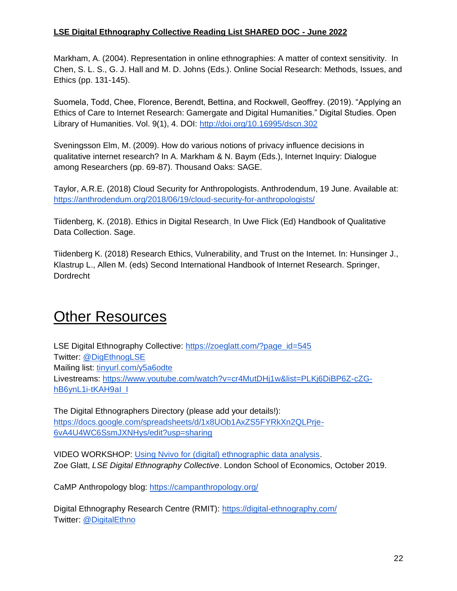Markham, A. (2004). Representation in online ethnographies: A matter of context sensitivity. In Chen, S. L. S., G. J. Hall and M. D. Johns (Eds.). Online Social Research: Methods, Issues, and Ethics (pp. 131-145).

Suomela, Todd, Chee, Florence, Berendt, Bettina, and Rockwell, Geoffrey. (2019). "Applying an Ethics of Care to Internet Research: Gamergate and Digital Humanities." Digital Studies. Open Library of Humanities. Vol. 9(1), 4. DOI:<http://doi.org/10.16995/dscn.302>

Sveningsson Elm, M. (2009). How do various notions of privacy influence decisions in qualitative internet research? In A. Markham & N. Baym (Eds.), Internet Inquiry: Dialogue among Researchers (pp. 69-87). Thousand Oaks: SAGE.

Taylor, A.R.E. (2018) Cloud Security for Anthropologists. Anthrodendum, 19 June. Available at: <https://anthrodendum.org/2018/06/19/cloud-security-for-anthropologists/>

Tiidenberg, K. (2018). Ethics in Digital Researc[h.](https://t.umblr.com/redirect?z=https%3A%2F%2Fwww.researchgate.net%2Fpublication%2F325157593_Ethics_in_Digital_Research&t=ZmNlZTNkYjkxNWFiZmZjOTM0NDQyZjMyNDMyNDNkOGMzNGRhMzkwOCxUbU4zdWpESg%3D%3D&p=&m=0) In Uwe Flick (Ed) Handbook of Qualitative Data Collection. Sage.

Tiidenberg K. (2018) Research Ethics, Vulnerability, and Trust on the Internet. In: Hunsinger J., Klastrup L., Allen M. (eds) Second International Handbook of Internet Research. Springer, Dordrecht

## <span id="page-21-0"></span>Other Resources

LSE Digital Ethnography Collective: [https://zoeglatt.com/?page\\_id=545](https://zoeglatt.com/?page_id=545) Twitter: [@DigEthnogLSE](https://twitter.com/DigEthnogLSE) Mailing list: [tinyurl.com/y5a6odte](https://t.co/b8Z7hx1N0J?amp=1) Livestreams: [https://www.youtube.com/watch?v=cr4MutDHj1w&list=PLKj6DiBP6Z-cZG](https://www.youtube.com/watch?v=cr4MutDHj1w&list=PLKj6DiBP6Z-cZG-hB6ynL1i-tKAH9aI_I)[hB6ynL1i-tKAH9aI\\_I](https://www.youtube.com/watch?v=cr4MutDHj1w&list=PLKj6DiBP6Z-cZG-hB6ynL1i-tKAH9aI_I)

The Digital Ethnographers Directory (please add your details!): [https://docs.google.com/spreadsheets/d/1x8UOb1AxZS5FYRkXn2QLPrje-](https://docs.google.com/spreadsheets/d/1x8UOb1AxZS5FYRkXn2QLPrje-6vA4U4WC6SsmJXNHys/edit?usp=sharing)[6vA4U4WC6SsmJXNHys/edit?usp=sharing](https://docs.google.com/spreadsheets/d/1x8UOb1AxZS5FYRkXn2QLPrje-6vA4U4WC6SsmJXNHys/edit?usp=sharing)

VIDEO WORKSHOP: [Using Nvivo for \(digital\) ethnographic data analysis.](https://youtu.be/ECwEj8tf-EI) Zoe Glatt, *LSE Digital Ethnography Collective*. London School of Economics, October 2019.

CaMP Anthropology blog:<https://campanthropology.org/>

Digital Ethnography Research Centre (RMIT):<https://digital-ethnography.com/> Twitter: [@DigitalEthno](https://twitter.com/DigitalEthno)